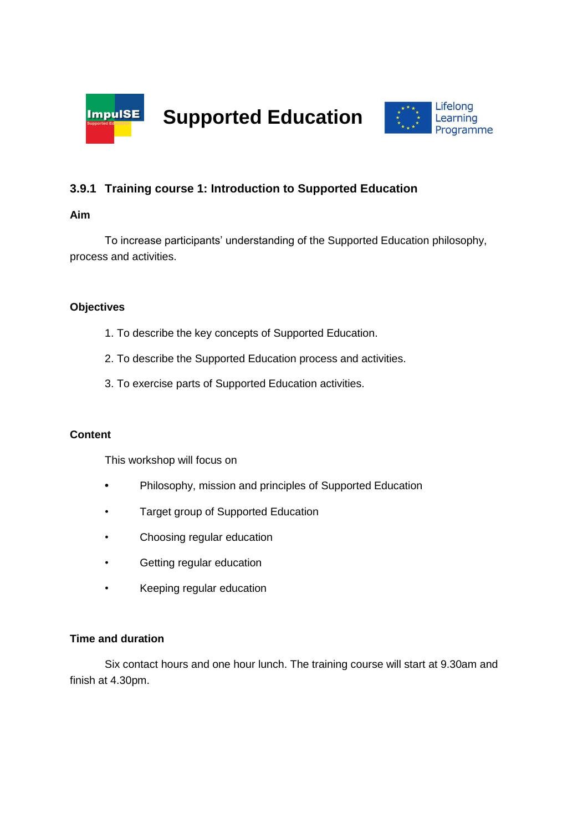



# **3.9.1 Training course 1: Introduction to Supported Education**

#### **Aim**

To increase participants' understanding of the Supported Education philosophy, process and activities.

## **Objectives**

- 1. To describe the key concepts of Supported Education.
- 2. To describe the Supported Education process and activities.
- 3. To exercise parts of Supported Education activities.

#### **Content**

This workshop will focus on

- **•** Philosophy, mission and principles of Supported Education
- Target group of Supported Education
- Choosing regular education
- Getting regular education
- Keeping regular education

#### **Time and duration**

Six contact hours and one hour lunch. The training course will start at 9.30am and finish at 4.30pm.